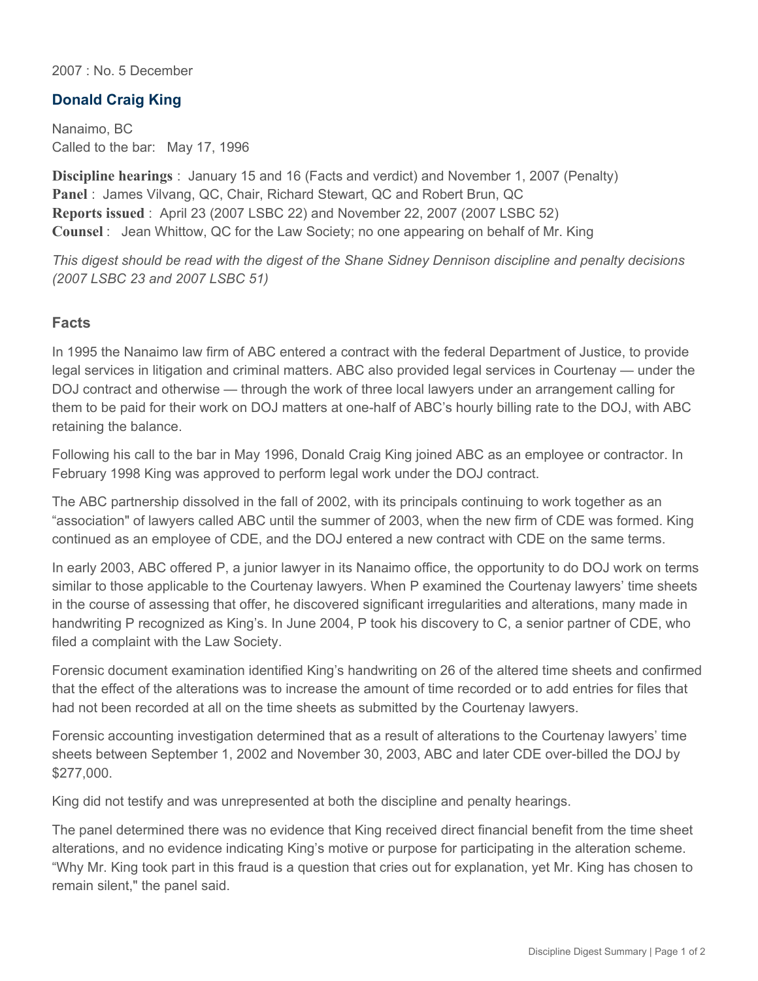2007 : No. 5 December

## **Donald Craig King**

Nanaimo, BC Called to the bar: May 17, 1996

**Discipline hearings** : January 15 and 16 (Facts and verdict) and November 1, 2007 (Penalty) **Panel** : James Vilvang, QC, Chair, Richard Stewart, QC and Robert Brun, QC **Reports issued** : April 23 (2007 LSBC 22) and November 22, 2007 (2007 LSBC 52) **Counsel** : Jean Whittow, QC for the Law Society; no one appearing on behalf of Mr. King

*This digest should be read with the digest of the Shane Sidney Dennison discipline and penalty decisions (2007 LSBC 23 and 2007 LSBC 51)*

## **Facts**

In 1995 the Nanaimo law firm of ABC entered a contract with the federal Department of Justice, to provide legal services in litigation and criminal matters. ABC also provided legal services in Courtenay — under the DOJ contract and otherwise — through the work of three local lawyers under an arrangement calling for them to be paid for their work on DOJ matters at one-half of ABC's hourly billing rate to the DOJ, with ABC retaining the balance.

Following his call to the bar in May 1996, Donald Craig King joined ABC as an employee or contractor. In February 1998 King was approved to perform legal work under the DOJ contract.

The ABC partnership dissolved in the fall of 2002, with its principals continuing to work together as an "association" of lawyers called ABC until the summer of 2003, when the new firm of CDE was formed. King continued as an employee of CDE, and the DOJ entered a new contract with CDE on the same terms.

In early 2003, ABC offered P, a junior lawyer in its Nanaimo office, the opportunity to do DOJ work on terms similar to those applicable to the Courtenay lawyers. When P examined the Courtenay lawyers' time sheets in the course of assessing that offer, he discovered significant irregularities and alterations, many made in handwriting P recognized as King's. In June 2004, P took his discovery to C, a senior partner of CDE, who filed a complaint with the Law Society.

Forensic document examination identified King's handwriting on 26 of the altered time sheets and confirmed that the effect of the alterations was to increase the amount of time recorded or to add entries for files that had not been recorded at all on the time sheets as submitted by the Courtenay lawyers.

Forensic accounting investigation determined that as a result of alterations to the Courtenay lawyers' time sheets between September 1, 2002 and November 30, 2003, ABC and later CDE over-billed the DOJ by \$277,000.

King did not testify and was unrepresented at both the discipline and penalty hearings.

The panel determined there was no evidence that King received direct financial benefit from the time sheet alterations, and no evidence indicating King's motive or purpose for participating in the alteration scheme. "Why Mr. King took part in this fraud is a question that cries out for explanation, yet Mr. King has chosen to remain silent," the panel said.